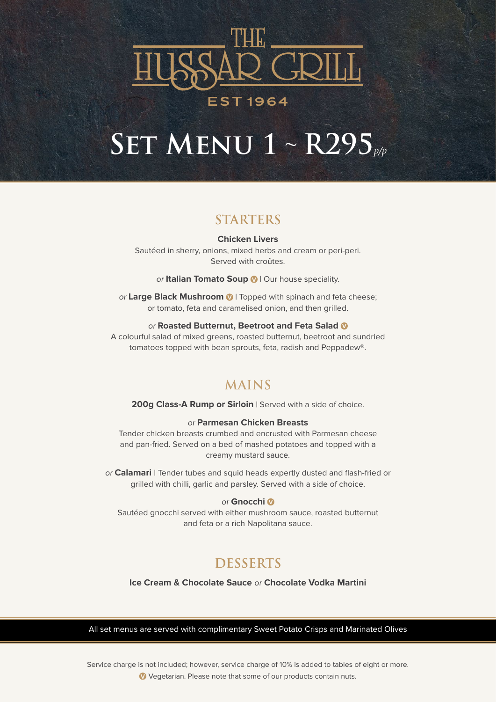

# **Set Menu 1** ~ **R295***p/p*

### **STARTERS**

**Chicken Livers** Sautéed in sherry, onions, mixed herbs and cream or peri-peri. Served with croûtes.

or **Italian Tomato Soup <sup>V</sup>** | Our house speciality.

or **Large Black Mushroom <sup>V</sup>** | Topped with spinach and feta cheese; or tomato, feta and caramelised onion, and then grilled.

#### or **Roasted Butternut, Beetroot and Feta Salad <sup>V</sup>**

A colourful salad of mixed greens, roasted butternut, beetroot and sundried tomatoes topped with bean sprouts, feta, radish and Peppadew®.

## **MAINS**

**200g Class-A Rump or Sirloin** | Served with a side of choice.

#### or **Parmesan Chicken Breasts**

Tender chicken breasts crumbed and encrusted with Parmesan cheese and pan-fried. Served on a bed of mashed potatoes and topped with a creamy mustard sauce.

or **Calamari** | Tender tubes and squid heads expertly dusted and flash-fried or grilled with chilli, garlic and parsley. Served with a side of choice.

#### or **Gnocchi <sup>V</sup>**

Sautéed gnocchi served with either mushroom sauce, roasted butternut and feta or a rich Napolitana sauce.

## **DESSERTS**

**Ice Cream & Chocolate Sauce** or **Chocolate Vodka Martini**

All set menus are served with complimentary Sweet Potato Crisps and Marinated Olives

Service charge is not included; however, service charge of 10% is added to tables of eight or more. **V** Vegetarian. Please note that some of our products contain nuts.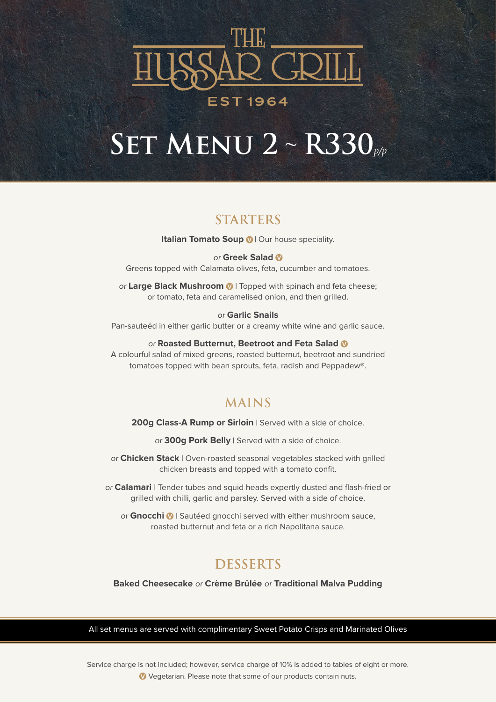

## **Set Menu 2** ~ **R330***p/p*

## **STARTERS**

**Italian Tomato Soup <sup>1</sup>** Our house speciality.

#### or **Greek Salad <sup>V</sup>**

Greens topped with Calamata olives, feta, cucumber and tomatoes.

or **Large Black Mushroom <sup>V</sup>** | Topped with spinach and feta cheese; or tomato, feta and caramelised onion, and then grilled.

#### or **Garlic Snails**

Pan-sauteéd in either garlic butter or a creamy white wine and garlic sauce.

#### or **Roasted Butternut, Beetroot and Feta Salad <sup>V</sup>**

A colourful salad of mixed greens, roasted butternut, beetroot and sundried tomatoes topped with bean sprouts, feta, radish and Peppadew®.

### **MAINS**

200g Class-A Rump or Sirloin | Served with a side of choice.

or **300g Pork Belly** | Served with a side of choice.

or **Chicken Stack** | Oven-roasted seasonal vegetables stacked with grilled chicken breasts and topped with a tomato confit.

or **Calamari** | Tender tubes and squid heads expertly dusted and flash-fried or grilled with chilli, garlic and parsley. Served with a side of choice.

or **Gnocchi <sup>V</sup>** | Sautéed gnocchi served with either mushroom sauce, roasted butternut and feta or a rich Napolitana sauce.

### **DESSERTS**

**Baked Cheesecake** or **Crème Brûlée** or **Traditional Malva Pudding**

All set menus are served with complimentary Sweet Potato Crisps and Marinated Olives

Service charge is not included; however, service charge of 10% is added to tables of eight or more. **V** Vegetarian. Please note that some of our products contain nuts.